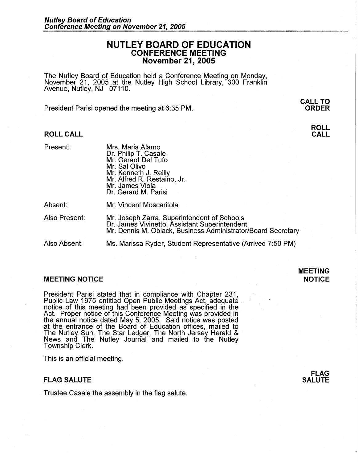# **NUTLEY BOARD OF EDUCATION CONFERENCE MEETING November 21, 2005**

The Nutley Board of Education held a Conference Meeting on Monday, November 21, 2005 at the Nutley High School Library, 300 Franklin Avenue, Nutley, NJ 07110.

President Parisi opened the meeting at 6:35 PM.

### **ROLL CALL**

Present:

| Mrs. Maria Alamo            |
|-----------------------------|
| Dr. Philip T. Casale        |
| Mr. Gerard Del Tufo         |
| Mr. Sal Olivo               |
| Mr. Kenneth J. Reilly       |
| Mr. Alfred R. Restaino, Jr. |
| Mr. James Viola             |
| Dr. Gerard M. Parisi        |
|                             |
|                             |

- Absent: Mr. Vincent Moscaritola
- Also Present: Mr. Joseph Zarra, Superintendent of Schools Dr. James Vivinetto, Assistant Superintendent Mr. Dennis M. Oblack, Business Administrator/Board Secretary
- Also Absent: Ms. Marissa Ryder, Student Representative (Arrived 7:50 PM)

### **MEETING NOTICE**

President Parisi stated that in compliance with Chapter 231, Public Law 1975 entitled Open Pubfic Meetings Act, adequate notice of this meeting had been provided as specified in the Act. Proper notice of this Conference Meeting was provided in the annual notice dated May 5, 2005. Said notice was posted at the entrance of the Board of Education offices, mailed to The Nutley Sun, The Star Ledger, The North Jersey Herald & News and The Nutley Journal and mailed to the Nutley Township Clerk.

This is an official meeting.

### **FLAG SALUTE**

Trustee Casale the assembly in the flag salute.

**MEETING NOTICE** 

**CALL TO ORDER** 

> **ROLL CALL**